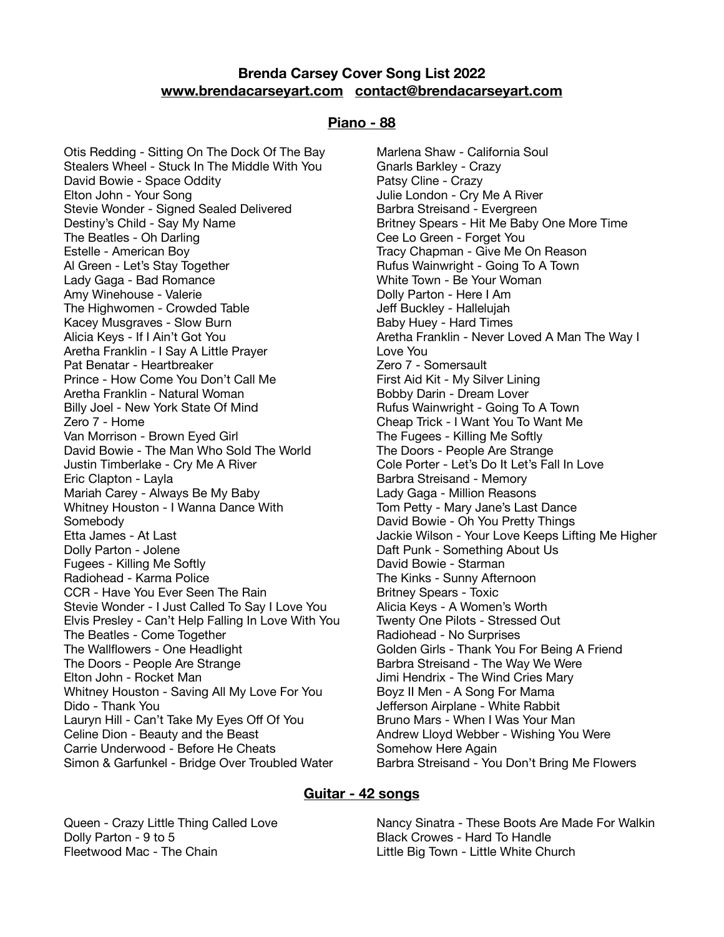# **Brenda Carsey Cover Song List 2022 [www.brendacarseyart.com](http://www.brendacarseyart.com) [contact@brendacarseyart.com](mailto:contact@brendacarseyart.com)**

#### **Piano - 88**

Otis Redding - Sitting On The Dock Of The Bay Stealers Wheel - Stuck In The Middle With You David Bowie - Space Oddity Elton John - Your Song Stevie Wonder - Signed Sealed Delivered Destiny's Child - Say My Name The Beatles - Oh Darling Estelle - American Boy Al Green - Let's Stay Together Lady Gaga - Bad Romance Amy Winehouse - Valerie The Highwomen - Crowded Table Kacey Musgraves - Slow Burn Alicia Keys - If I Ain't Got You Aretha Franklin - I Say A Little Prayer Pat Benatar - Heartbreaker Prince - How Come You Don't Call Me Aretha Franklin - Natural Woman Billy Joel - New York State Of Mind Zero 7 - Home Van Morrison - Brown Eyed Girl David Bowie - The Man Who Sold The World Justin Timberlake - Cry Me A River Eric Clapton - Layla Mariah Carey - Always Be My Baby Whitney Houston - I Wanna Dance With Somebody Etta James - At Last Dolly Parton - Jolene Fugees - Killing Me Softly Radiohead - Karma Police CCR - Have You Ever Seen The Rain Stevie Wonder - I Just Called To Say I Love You Elvis Presley - Can't Help Falling In Love With You The Beatles - Come Together The Wallflowers - One Headlight The Doors - People Are Strange Elton John - Rocket Man Whitney Houston - Saving All My Love For You Dido - Thank You Lauryn Hill - Can't Take My Eyes Off Of You Celine Dion - Beauty and the Beast Carrie Underwood - Before He Cheats Simon & Garfunkel - Bridge Over Troubled Water

Marlena Shaw - California Soul Gnarls Barkley - Crazy Patsy Cline - Crazy Julie London - Cry Me A River Barbra Streisand - Evergreen Britney Spears - Hit Me Baby One More Time Cee Lo Green - Forget You Tracy Chapman - Give Me On Reason Rufus Wainwright - Going To A Town White Town - Be Your Woman Dolly Parton - Here I Am Jeff Buckley - Hallelujah Baby Huey - Hard Times Aretha Franklin - Never Loved A Man The Way I Love You Zero 7 - Somersault First Aid Kit - My Silver Lining Bobby Darin - Dream Lover Rufus Wainwright - Going To A Town Cheap Trick - I Want You To Want Me The Fugees - Killing Me Softly The Doors - People Are Strange Cole Porter - Let's Do It Let's Fall In Love Barbra Streisand - Memory Lady Gaga - Million Reasons Tom Petty - Mary Jane's Last Dance David Bowie - Oh You Pretty Things Jackie Wilson - Your Love Keeps Lifting Me Higher Daft Punk - Something About Us David Bowie - Starman The Kinks - Sunny Afternoon Britney Spears - Toxic Alicia Keys - A Women's Worth Twenty One Pilots - Stressed Out Radiohead - No Surprises Golden Girls - Thank You For Being A Friend Barbra Streisand - The Way We Were Jimi Hendrix - The Wind Cries Mary Boyz II Men - A Song For Mama Jefferson Airplane - White Rabbit Bruno Mars - When I Was Your Man Andrew Lloyd Webber - Wishing You Were Somehow Here Again Barbra Streisand - You Don't Bring Me Flowers

### **Guitar - 42 songs**

Queen - Crazy Little Thing Called Love Dolly Parton - 9 to 5 Fleetwood Mac - The Chain

Nancy Sinatra - These Boots Are Made For Walkin Black Crowes - Hard To Handle Little Big Town - Little White Church